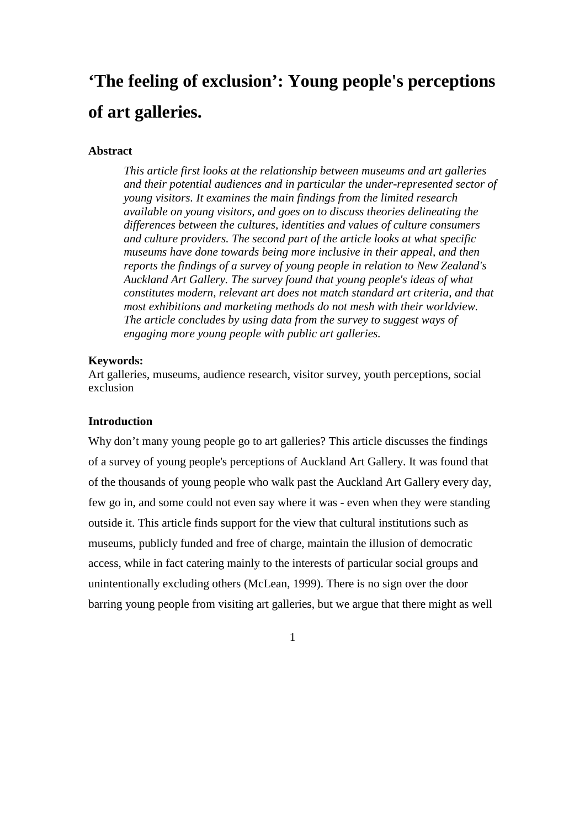# **'The feeling of exclusion': Young people's perceptions of art galleries.**

## **Abstract**

*This article first looks at the relationship between museums and art galleries and their potential audiences and in particular the under-represented sector of young visitors. It examines the main findings from the limited research available on young visitors, and goes on to discuss theories delineating the differences between the cultures, identities and values of culture consumers and culture providers. The second part of the article looks at what specific museums have done towards being more inclusive in their appeal, and then reports the findings of a survey of young people in relation to New Zealand's Auckland Art Gallery. The survey found that young people's ideas of what constitutes modern, relevant art does not match standard art criteria, and that most exhibitions and marketing methods do not mesh with their worldview. The article concludes by using data from the survey to suggest ways of engaging more young people with public art galleries.* 

### **Keywords:**

Art galleries, museums, audience research, visitor survey, youth perceptions, social exclusion

## **Introduction**

Why don't many young people go to art galleries? This article discusses the findings of a survey of young people's perceptions of Auckland Art Gallery. It was found that of the thousands of young people who walk past the Auckland Art Gallery every day, few go in, and some could not even say where it was - even when they were standing outside it. This article finds support for the view that cultural institutions such as museums, publicly funded and free of charge, maintain the illusion of democratic access, while in fact catering mainly to the interests of particular social groups and unintentionally excluding others (McLean, 1999). There is no sign over the door barring young people from visiting art galleries, but we argue that there might as well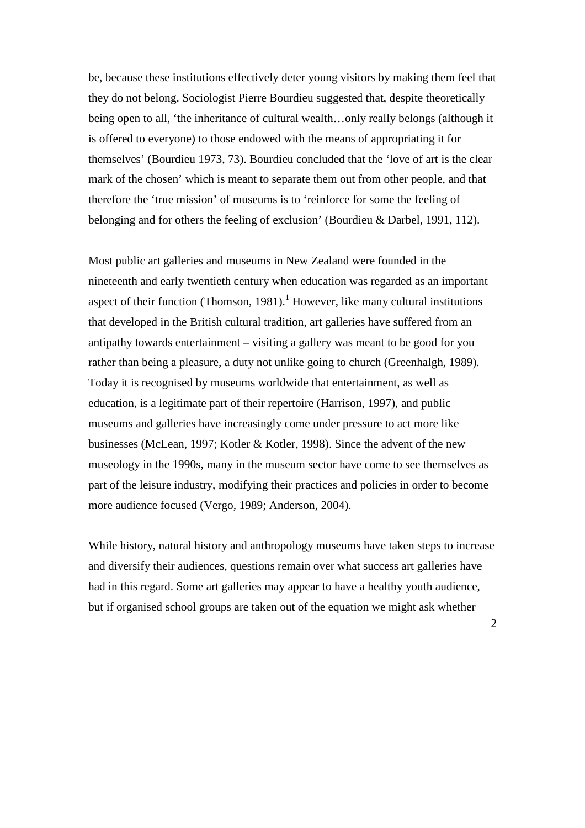be, because these institutions effectively deter young visitors by making them feel that they do not belong. Sociologist Pierre Bourdieu suggested that, despite theoretically being open to all, 'the inheritance of cultural wealth…only really belongs (although it is offered to everyone) to those endowed with the means of appropriating it for themselves' (Bourdieu 1973, 73). Bourdieu concluded that the 'love of art is the clear mark of the chosen' which is meant to separate them out from other people, and that therefore the 'true mission' of museums is to 'reinforce for some the feeling of belonging and for others the feeling of exclusion' (Bourdieu & Darbel, 1991, 112).

Most public art galleries and museums in New Zealand were founded in the nineteenth and early twentieth century when education was regarded as an important aspect of their function (Thomson, 1981).<sup>1</sup> However, like many cultural institutions that developed in the British cultural tradition, art galleries have suffered from an antipathy towards entertainment – visiting a gallery was meant to be good for you rather than being a pleasure, a duty not unlike going to church (Greenhalgh, 1989). Today it is recognised by museums worldwide that entertainment, as well as education, is a legitimate part of their repertoire (Harrison, 1997), and public museums and galleries have increasingly come under pressure to act more like businesses (McLean, 1997; Kotler & Kotler, 1998). Since the advent of the new museology in the 1990s, many in the museum sector have come to see themselves as part of the leisure industry, modifying their practices and policies in order to become more audience focused (Vergo, 1989; Anderson, 2004).

While history, natural history and anthropology museums have taken steps to increase and diversify their audiences, questions remain over what success art galleries have had in this regard. Some art galleries may appear to have a healthy youth audience, but if organised school groups are taken out of the equation we might ask whether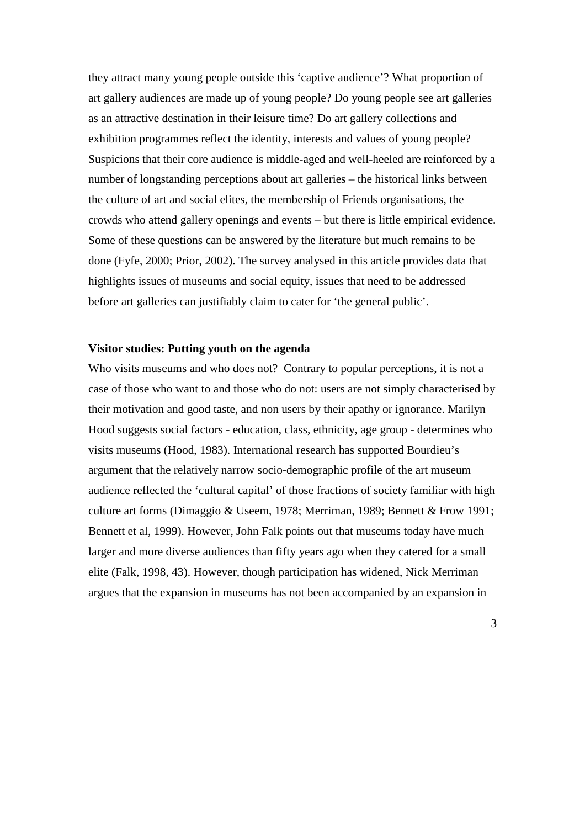they attract many young people outside this 'captive audience'? What proportion of art gallery audiences are made up of young people? Do young people see art galleries as an attractive destination in their leisure time? Do art gallery collections and exhibition programmes reflect the identity, interests and values of young people? Suspicions that their core audience is middle-aged and well-heeled are reinforced by a number of longstanding perceptions about art galleries – the historical links between the culture of art and social elites, the membership of Friends organisations, the crowds who attend gallery openings and events – but there is little empirical evidence. Some of these questions can be answered by the literature but much remains to be done (Fyfe, 2000; Prior, 2002). The survey analysed in this article provides data that highlights issues of museums and social equity, issues that need to be addressed before art galleries can justifiably claim to cater for 'the general public'.

## **Visitor studies: Putting youth on the agenda**

Who visits museums and who does not? Contrary to popular perceptions, it is not a case of those who want to and those who do not: users are not simply characterised by their motivation and good taste, and non users by their apathy or ignorance. Marilyn Hood suggests social factors - education, class, ethnicity, age group - determines who visits museums (Hood, 1983). International research has supported Bourdieu's argument that the relatively narrow socio-demographic profile of the art museum audience reflected the 'cultural capital' of those fractions of society familiar with high culture art forms (Dimaggio & Useem, 1978; Merriman, 1989; Bennett & Frow 1991; Bennett et al, 1999). However, John Falk points out that museums today have much larger and more diverse audiences than fifty years ago when they catered for a small elite (Falk, 1998, 43). However, though participation has widened, Nick Merriman argues that the expansion in museums has not been accompanied by an expansion in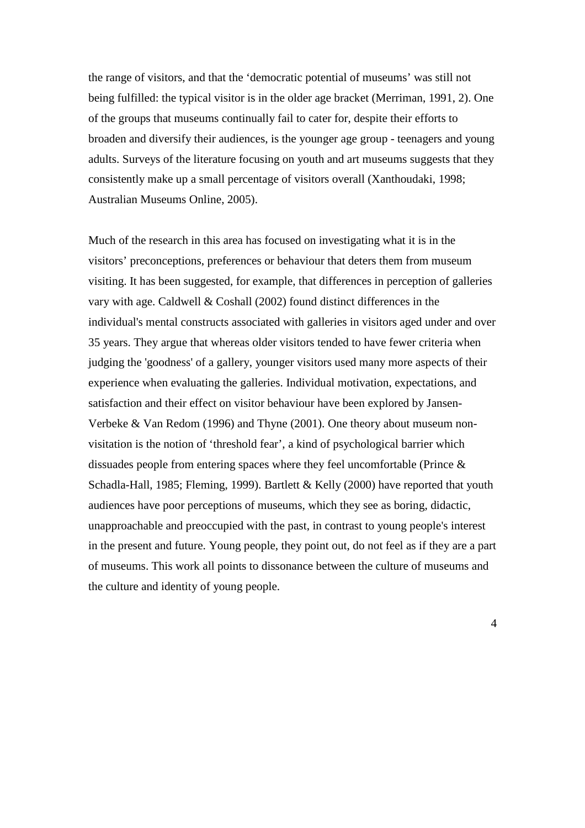the range of visitors, and that the 'democratic potential of museums' was still not being fulfilled: the typical visitor is in the older age bracket (Merriman, 1991, 2). One of the groups that museums continually fail to cater for, despite their efforts to broaden and diversify their audiences, is the younger age group - teenagers and young adults. Surveys of the literature focusing on youth and art museums suggests that they consistently make up a small percentage of visitors overall (Xanthoudaki, 1998; Australian Museums Online, 2005).

Much of the research in this area has focused on investigating what it is in the visitors' preconceptions, preferences or behaviour that deters them from museum visiting. It has been suggested, for example, that differences in perception of galleries vary with age. Caldwell & Coshall (2002) found distinct differences in the individual's mental constructs associated with galleries in visitors aged under and over 35 years. They argue that whereas older visitors tended to have fewer criteria when judging the 'goodness' of a gallery, younger visitors used many more aspects of their experience when evaluating the galleries. Individual motivation, expectations, and satisfaction and their effect on visitor behaviour have been explored by Jansen-Verbeke & Van Redom (1996) and Thyne (2001). One theory about museum nonvisitation is the notion of 'threshold fear', a kind of psychological barrier which dissuades people from entering spaces where they feel uncomfortable (Prince & Schadla-Hall, 1985; Fleming, 1999). Bartlett & Kelly (2000) have reported that youth audiences have poor perceptions of museums, which they see as boring, didactic, unapproachable and preoccupied with the past, in contrast to young people's interest in the present and future. Young people, they point out, do not feel as if they are a part of museums. This work all points to dissonance between the culture of museums and the culture and identity of young people.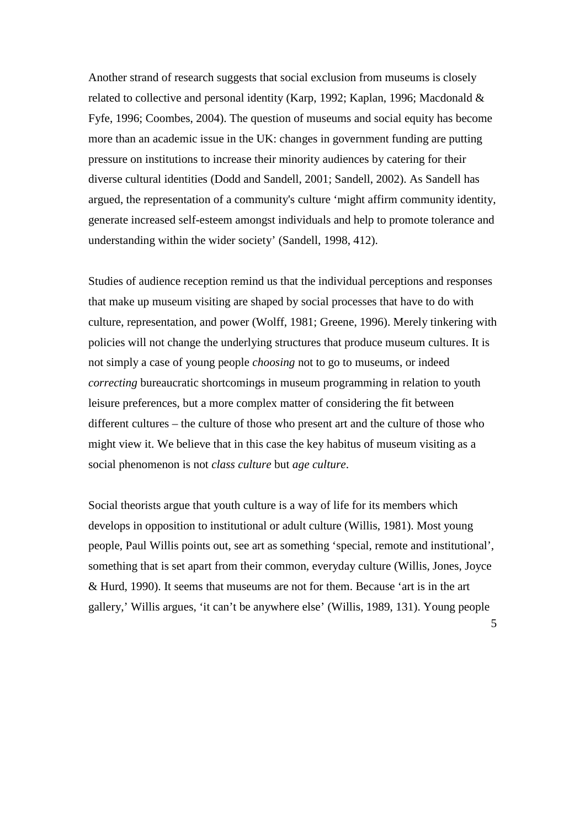Another strand of research suggests that social exclusion from museums is closely related to collective and personal identity (Karp, 1992; Kaplan, 1996; Macdonald & Fyfe, 1996; Coombes, 2004). The question of museums and social equity has become more than an academic issue in the UK: changes in government funding are putting pressure on institutions to increase their minority audiences by catering for their diverse cultural identities (Dodd and Sandell, 2001; Sandell, 2002). As Sandell has argued, the representation of a community's culture 'might affirm community identity, generate increased self-esteem amongst individuals and help to promote tolerance and understanding within the wider society' (Sandell, 1998, 412).

Studies of audience reception remind us that the individual perceptions and responses that make up museum visiting are shaped by social processes that have to do with culture, representation, and power (Wolff, 1981; Greene, 1996). Merely tinkering with policies will not change the underlying structures that produce museum cultures. It is not simply a case of young people *choosing* not to go to museums, or indeed *correcting* bureaucratic shortcomings in museum programming in relation to youth leisure preferences, but a more complex matter of considering the fit between different cultures – the culture of those who present art and the culture of those who might view it. We believe that in this case the key habitus of museum visiting as a social phenomenon is not *class culture* but *age culture*.

Social theorists argue that youth culture is a way of life for its members which develops in opposition to institutional or adult culture (Willis, 1981). Most young people, Paul Willis points out, see art as something 'special, remote and institutional', something that is set apart from their common, everyday culture (Willis, Jones, Joyce & Hurd, 1990). It seems that museums are not for them. Because 'art is in the art gallery,' Willis argues, 'it can't be anywhere else' (Willis, 1989, 131). Young people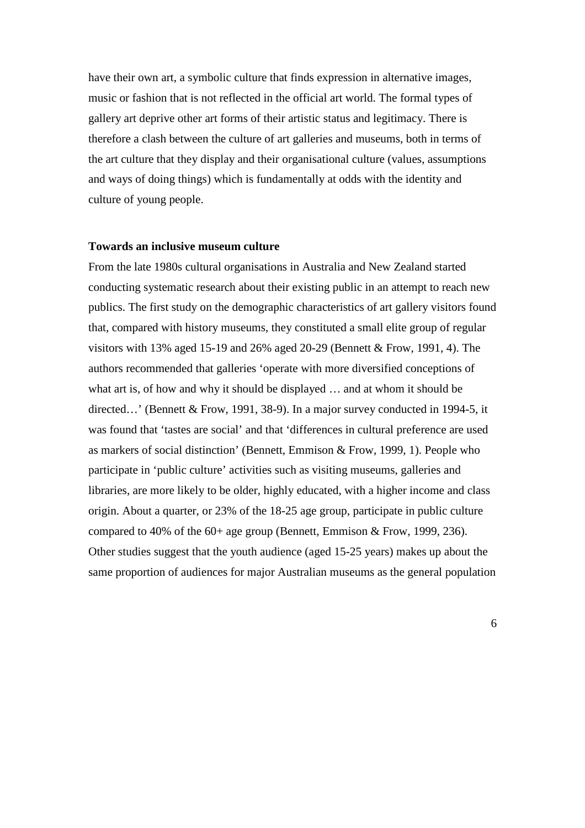have their own art, a symbolic culture that finds expression in alternative images, music or fashion that is not reflected in the official art world. The formal types of gallery art deprive other art forms of their artistic status and legitimacy. There is therefore a clash between the culture of art galleries and museums, both in terms of the art culture that they display and their organisational culture (values, assumptions and ways of doing things) which is fundamentally at odds with the identity and culture of young people.

## **Towards an inclusive museum culture**

From the late 1980s cultural organisations in Australia and New Zealand started conducting systematic research about their existing public in an attempt to reach new publics. The first study on the demographic characteristics of art gallery visitors found that, compared with history museums, they constituted a small elite group of regular visitors with 13% aged 15-19 and 26% aged 20-29 (Bennett & Frow, 1991, 4). The authors recommended that galleries 'operate with more diversified conceptions of what art is, of how and why it should be displayed … and at whom it should be directed…' (Bennett & Frow, 1991, 38-9). In a major survey conducted in 1994-5, it was found that 'tastes are social' and that 'differences in cultural preference are used as markers of social distinction' (Bennett, Emmison & Frow, 1999, 1). People who participate in 'public culture' activities such as visiting museums, galleries and libraries, are more likely to be older, highly educated, with a higher income and class origin. About a quarter, or 23% of the 18-25 age group, participate in public culture compared to 40% of the 60+ age group (Bennett, Emmison & Frow, 1999, 236). Other studies suggest that the youth audience (aged 15-25 years) makes up about the same proportion of audiences for major Australian museums as the general population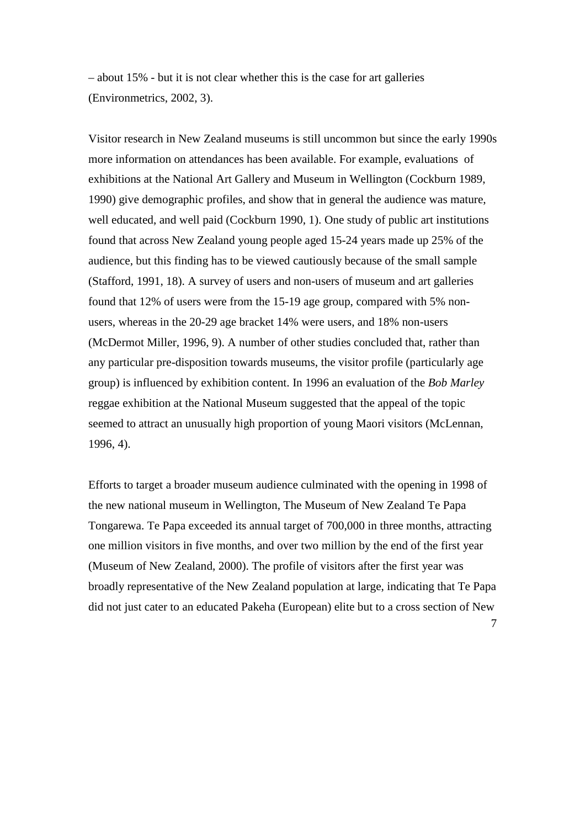– about 15% - but it is not clear whether this is the case for art galleries (Environmetrics, 2002, 3).

Visitor research in New Zealand museums is still uncommon but since the early 1990s more information on attendances has been available. For example, evaluations of exhibitions at the National Art Gallery and Museum in Wellington (Cockburn 1989, 1990) give demographic profiles, and show that in general the audience was mature, well educated, and well paid (Cockburn 1990, 1). One study of public art institutions found that across New Zealand young people aged 15-24 years made up 25% of the audience, but this finding has to be viewed cautiously because of the small sample (Stafford, 1991, 18). A survey of users and non-users of museum and art galleries found that 12% of users were from the 15-19 age group, compared with 5% nonusers, whereas in the 20-29 age bracket 14% were users, and 18% non-users (McDermot Miller, 1996, 9). A number of other studies concluded that, rather than any particular pre-disposition towards museums, the visitor profile (particularly age group) is influenced by exhibition content. In 1996 an evaluation of the *Bob Marley* reggae exhibition at the National Museum suggested that the appeal of the topic seemed to attract an unusually high proportion of young Maori visitors (McLennan, 1996, 4).

Efforts to target a broader museum audience culminated with the opening in 1998 of the new national museum in Wellington, The Museum of New Zealand Te Papa Tongarewa. Te Papa exceeded its annual target of 700,000 in three months, attracting one million visitors in five months, and over two million by the end of the first year (Museum of New Zealand, 2000). The profile of visitors after the first year was broadly representative of the New Zealand population at large, indicating that Te Papa did not just cater to an educated Pakeha (European) elite but to a cross section of New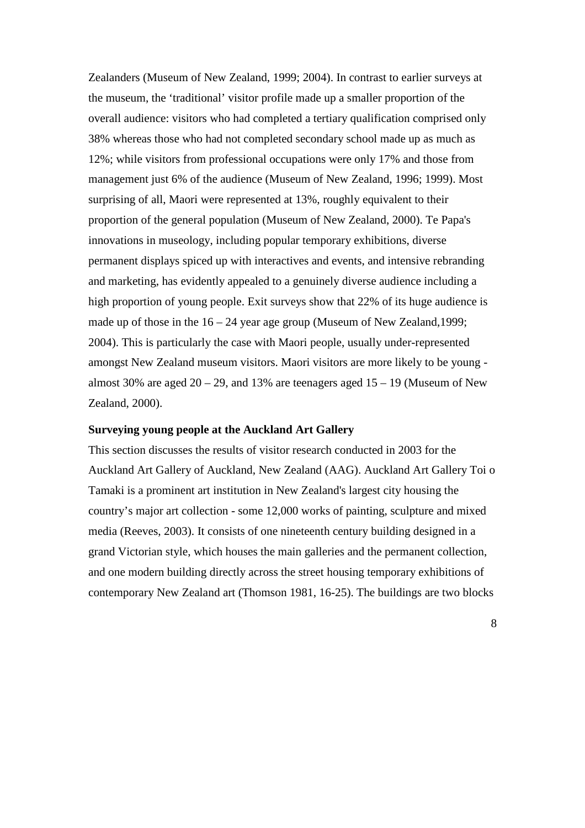Zealanders (Museum of New Zealand, 1999; 2004). In contrast to earlier surveys at the museum, the 'traditional' visitor profile made up a smaller proportion of the overall audience: visitors who had completed a tertiary qualification comprised only 38% whereas those who had not completed secondary school made up as much as 12%; while visitors from professional occupations were only 17% and those from management just 6% of the audience (Museum of New Zealand, 1996; 1999). Most surprising of all, Maori were represented at 13%, roughly equivalent to their proportion of the general population (Museum of New Zealand, 2000). Te Papa's innovations in museology, including popular temporary exhibitions, diverse permanent displays spiced up with interactives and events, and intensive rebranding and marketing, has evidently appealed to a genuinely diverse audience including a high proportion of young people. Exit surveys show that 22% of its huge audience is made up of those in the  $16 - 24$  year age group (Museum of New Zealand, 1999; 2004). This is particularly the case with Maori people, usually under-represented amongst New Zealand museum visitors. Maori visitors are more likely to be young almost 30% are aged  $20 - 29$ , and 13% are teenagers aged  $15 - 19$  (Museum of New Zealand, 2000).

## **Surveying young people at the Auckland Art Gallery**

This section discusses the results of visitor research conducted in 2003 for the Auckland Art Gallery of Auckland, New Zealand (AAG). Auckland Art Gallery Toi o Tamaki is a prominent art institution in New Zealand's largest city housing the country's major art collection - some 12,000 works of painting, sculpture and mixed media (Reeves, 2003). It consists of one nineteenth century building designed in a grand Victorian style, which houses the main galleries and the permanent collection, and one modern building directly across the street housing temporary exhibitions of contemporary New Zealand art (Thomson 1981, 16-25). The buildings are two blocks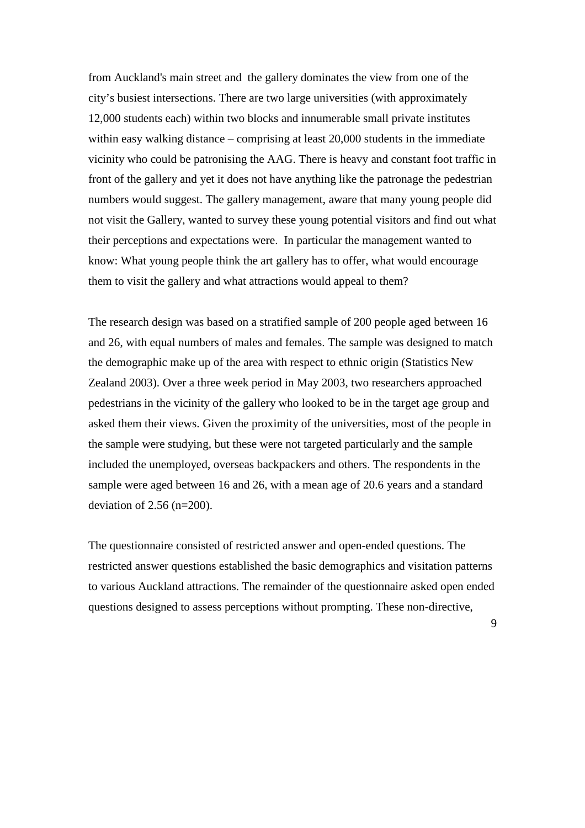from Auckland's main street and the gallery dominates the view from one of the city's busiest intersections. There are two large universities (with approximately 12,000 students each) within two blocks and innumerable small private institutes within easy walking distance – comprising at least 20,000 students in the immediate vicinity who could be patronising the AAG. There is heavy and constant foot traffic in front of the gallery and yet it does not have anything like the patronage the pedestrian numbers would suggest. The gallery management, aware that many young people did not visit the Gallery, wanted to survey these young potential visitors and find out what their perceptions and expectations were. In particular the management wanted to know: What young people think the art gallery has to offer, what would encourage them to visit the gallery and what attractions would appeal to them?

The research design was based on a stratified sample of 200 people aged between 16 and 26, with equal numbers of males and females. The sample was designed to match the demographic make up of the area with respect to ethnic origin (Statistics New Zealand 2003). Over a three week period in May 2003, two researchers approached pedestrians in the vicinity of the gallery who looked to be in the target age group and asked them their views. Given the proximity of the universities, most of the people in the sample were studying, but these were not targeted particularly and the sample included the unemployed, overseas backpackers and others. The respondents in the sample were aged between 16 and 26, with a mean age of 20.6 years and a standard deviation of 2.56 (n=200).

The questionnaire consisted of restricted answer and open-ended questions. The restricted answer questions established the basic demographics and visitation patterns to various Auckland attractions. The remainder of the questionnaire asked open ended questions designed to assess perceptions without prompting. These non-directive,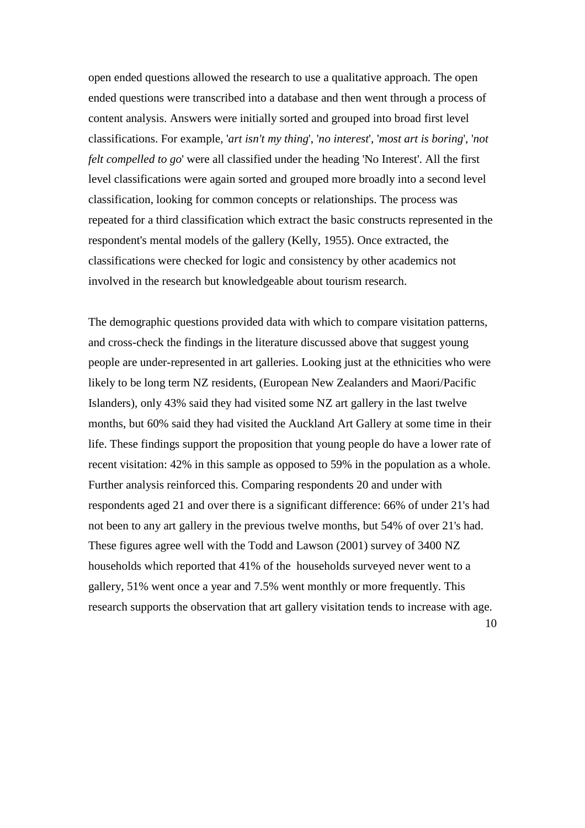open ended questions allowed the research to use a qualitative approach. The open ended questions were transcribed into a database and then went through a process of content analysis. Answers were initially sorted and grouped into broad first level classifications. For example, '*art isn't my thing*', '*no interest*', '*most art is boring*', '*not felt compelled to go*' were all classified under the heading 'No Interest'. All the first level classifications were again sorted and grouped more broadly into a second level classification, looking for common concepts or relationships. The process was repeated for a third classification which extract the basic constructs represented in the respondent's mental models of the gallery (Kelly, 1955). Once extracted, the classifications were checked for logic and consistency by other academics not involved in the research but knowledgeable about tourism research.

The demographic questions provided data with which to compare visitation patterns, and cross-check the findings in the literature discussed above that suggest young people are under-represented in art galleries. Looking just at the ethnicities who were likely to be long term NZ residents, (European New Zealanders and Maori/Pacific Islanders), only 43% said they had visited some NZ art gallery in the last twelve months, but 60% said they had visited the Auckland Art Gallery at some time in their life. These findings support the proposition that young people do have a lower rate of recent visitation: 42% in this sample as opposed to 59% in the population as a whole. Further analysis reinforced this. Comparing respondents 20 and under with respondents aged 21 and over there is a significant difference: 66% of under 21's had not been to any art gallery in the previous twelve months, but 54% of over 21's had. These figures agree well with the Todd and Lawson (2001) survey of 3400 NZ households which reported that 41% of the households surveyed never went to a gallery, 51% went once a year and 7.5% went monthly or more frequently. This research supports the observation that art gallery visitation tends to increase with age.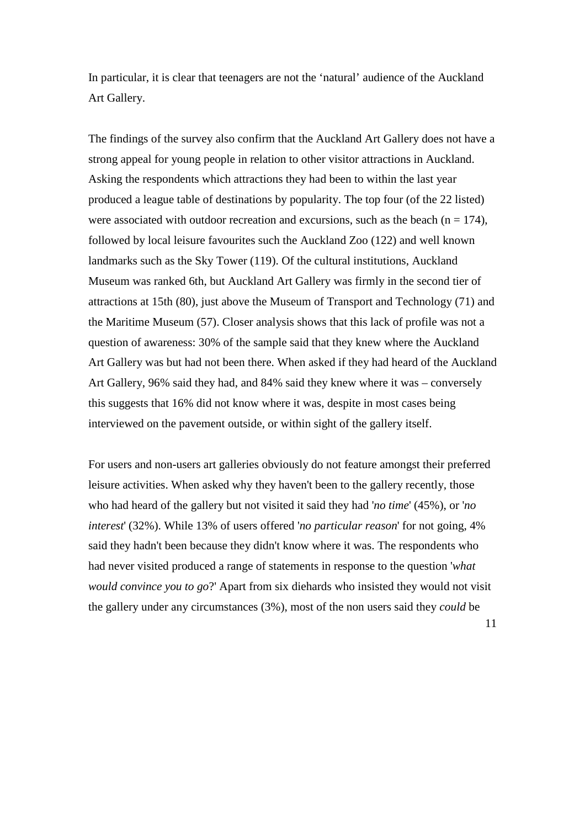In particular, it is clear that teenagers are not the 'natural' audience of the Auckland Art Gallery.

The findings of the survey also confirm that the Auckland Art Gallery does not have a strong appeal for young people in relation to other visitor attractions in Auckland. Asking the respondents which attractions they had been to within the last year produced a league table of destinations by popularity. The top four (of the 22 listed) were associated with outdoor recreation and excursions, such as the beach  $(n = 174)$ , followed by local leisure favourites such the Auckland Zoo (122) and well known landmarks such as the Sky Tower (119). Of the cultural institutions, Auckland Museum was ranked 6th, but Auckland Art Gallery was firmly in the second tier of attractions at 15th (80), just above the Museum of Transport and Technology (71) and the Maritime Museum (57). Closer analysis shows that this lack of profile was not a question of awareness: 30% of the sample said that they knew where the Auckland Art Gallery was but had not been there. When asked if they had heard of the Auckland Art Gallery, 96% said they had, and 84% said they knew where it was – conversely this suggests that 16% did not know where it was, despite in most cases being interviewed on the pavement outside, or within sight of the gallery itself.

For users and non-users art galleries obviously do not feature amongst their preferred leisure activities. When asked why they haven't been to the gallery recently, those who had heard of the gallery but not visited it said they had '*no time*' (45%), or '*no interest*' (32%). While 13% of users offered '*no particular reason*' for not going, 4% said they hadn't been because they didn't know where it was. The respondents who had never visited produced a range of statements in response to the question '*what would convince you to go*?' Apart from six diehards who insisted they would not visit the gallery under any circumstances (3%), most of the non users said they *could* be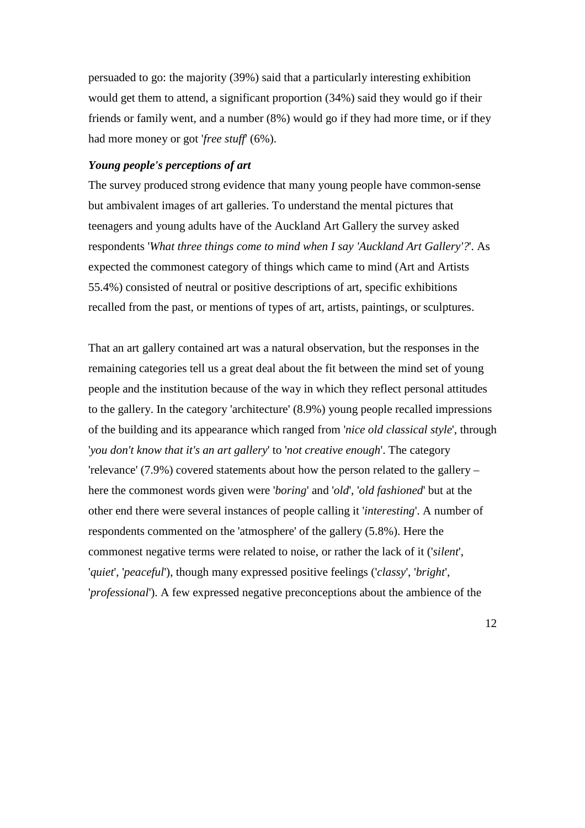persuaded to go: the majority (39%) said that a particularly interesting exhibition would get them to attend, a significant proportion (34%) said they would go if their friends or family went, and a number (8%) would go if they had more time, or if they had more money or got '*free stuff*' (6%).

## *Young people's perceptions of art*

The survey produced strong evidence that many young people have common-sense but ambivalent images of art galleries. To understand the mental pictures that teenagers and young adults have of the Auckland Art Gallery the survey asked respondents '*What three things come to mind when I say 'Auckland Art Gallery'?*'. As expected the commonest category of things which came to mind (Art and Artists 55.4%) consisted of neutral or positive descriptions of art, specific exhibitions recalled from the past, or mentions of types of art, artists, paintings, or sculptures.

That an art gallery contained art was a natural observation, but the responses in the remaining categories tell us a great deal about the fit between the mind set of young people and the institution because of the way in which they reflect personal attitudes to the gallery. In the category 'architecture' (8.9%) young people recalled impressions of the building and its appearance which ranged from '*nice old classical style*', through '*you don't know that it's an art gallery*' to '*not creative enough*'. The category 'relevance' (7.9%) covered statements about how the person related to the gallery – here the commonest words given were '*boring*' and '*old*', '*old fashioned*' but at the other end there were several instances of people calling it '*interesting*'. A number of respondents commented on the 'atmosphere' of the gallery (5.8%). Here the commonest negative terms were related to noise, or rather the lack of it ('*silent*', '*quiet*', '*peaceful*'), though many expressed positive feelings ('*classy*', '*bright*', '*professional*'). A few expressed negative preconceptions about the ambience of the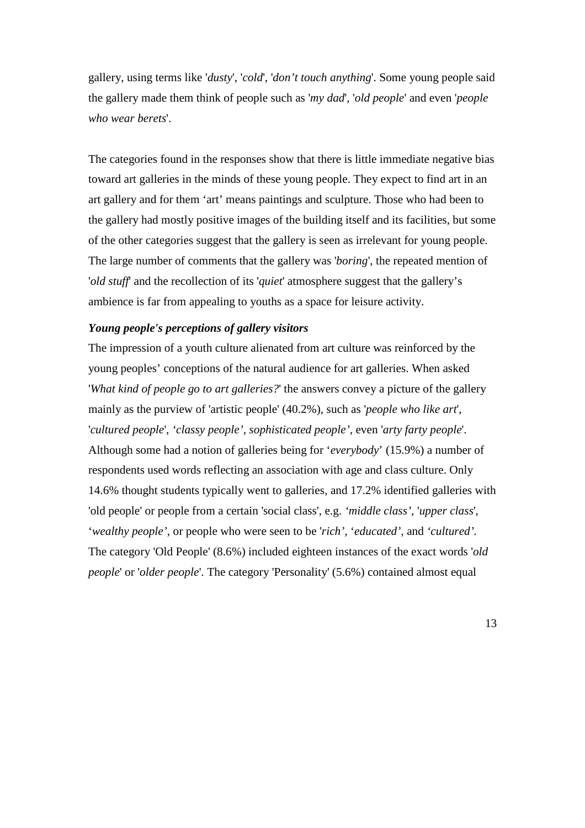gallery, using terms like '*dusty*', '*cold*', '*don't touch anything*'. Some young people said the gallery made them think of people such as '*my dad*', '*old people*' and even '*people who wear berets*'.

The categories found in the responses show that there is little immediate negative bias toward art galleries in the minds of these young people. They expect to find art in an art gallery and for them 'art' means paintings and sculpture. Those who had been to the gallery had mostly positive images of the building itself and its facilities, but some of the other categories suggest that the gallery is seen as irrelevant for young people. The large number of comments that the gallery was '*boring*', the repeated mention of '*old stuff*' and the recollection of its '*quiet*' atmosphere suggest that the gallery's ambience is far from appealing to youths as a space for leisure activity.

# *Young people's perceptions of gallery visitors*

The impression of a youth culture alienated from art culture was reinforced by the young peoples' conceptions of the natural audience for art galleries. When asked '*What kind of people go to art galleries?*' the answers convey a picture of the gallery mainly as the purview of 'artistic people' (40.2%), such as '*people who like art*', '*cultured people*', *'classy people', sophisticated people',* even '*arty farty people*'. Although some had a notion of galleries being for '*everybody*' (15.9%) a number of respondents used words reflecting an association with age and class culture. Only 14.6% thought students typically went to galleries, and 17.2% identified galleries with 'old people' or people from a certain 'social class', e.g. *'middle class'*, '*upper class*', '*wealthy people',* or people who were seen to be '*rich'*, '*educated',* and *'cultured'.* The category 'Old People' (8.6%) included eighteen instances of the exact words '*old people*' or '*older people*'. The category 'Personality' (5.6%) contained almost equal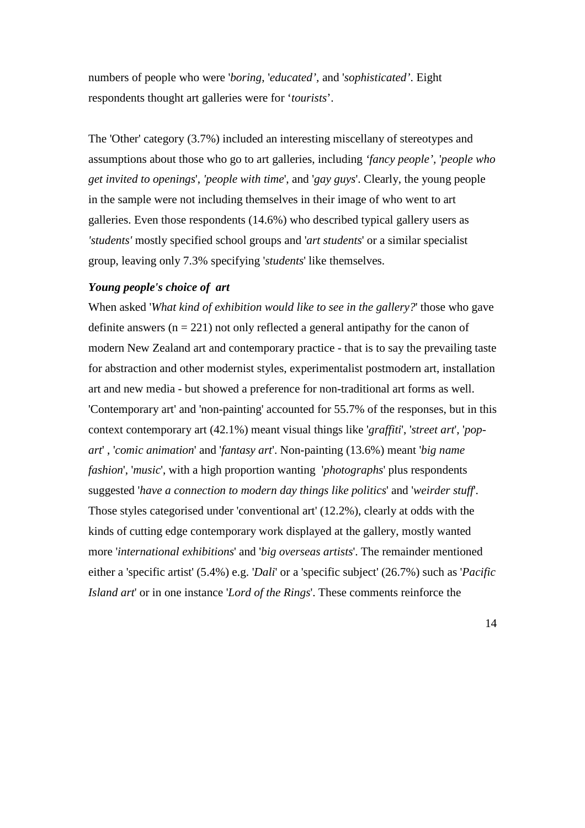numbers of people who were '*boring*, '*educated',* and '*sophisticated'*. Eight respondents thought art galleries were for '*tourists*'.

The 'Other' category (3.7%) included an interesting miscellany of stereotypes and assumptions about those who go to art galleries, including *'fancy people',* '*people who get invited to openings*', *'people with time*', and '*gay guys*'. Clearly, the young people in the sample were not including themselves in their image of who went to art galleries. Even those respondents (14.6%) who described typical gallery users as *'students'* mostly specified school groups and '*art students*' or a similar specialist group, leaving only 7.3% specifying '*students*' like themselves.

## *Young people's choice of art*

When asked '*What kind of exhibition would like to see in the gallery?*' those who gave definite answers  $(n = 221)$  not only reflected a general antipathy for the canon of modern New Zealand art and contemporary practice - that is to say the prevailing taste for abstraction and other modernist styles, experimentalist postmodern art, installation art and new media - but showed a preference for non-traditional art forms as well. 'Contemporary art' and 'non-painting' accounted for 55.7% of the responses, but in this context contemporary art (42.1%) meant visual things like '*graffiti*', '*street art*', '*popart*' , '*comic animation*' and '*fantasy art*'. Non-painting (13.6%) meant '*big name fashion*', '*music*', with a high proportion wanting '*photographs*' plus respondents suggested '*have a connection to modern day things like politics*' and '*weirder stuff*'. Those styles categorised under 'conventional art' (12.2%), clearly at odds with the kinds of cutting edge contemporary work displayed at the gallery, mostly wanted more '*international exhibitions*' and '*big overseas artists*'. The remainder mentioned either a 'specific artist' (5.4%) e.g. '*Dali*' or a 'specific subject' (26.7%) such as '*Pacific Island art*' or in one instance '*Lord of the Rings*'. These comments reinforce the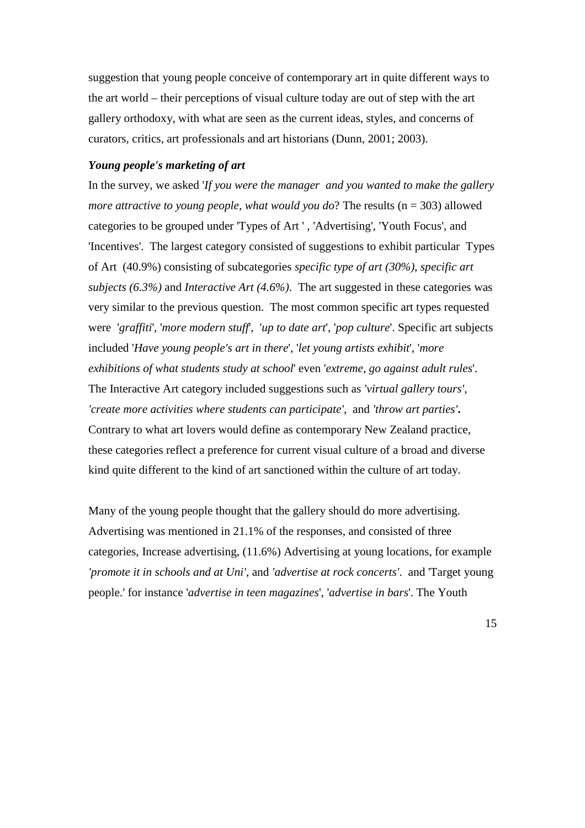suggestion that young people conceive of contemporary art in quite different ways to the art world – their perceptions of visual culture today are out of step with the art gallery orthodoxy, with what are seen as the current ideas, styles, and concerns of curators, critics, art professionals and art historians (Dunn, 2001; 2003).

# *Young people's marketing of art*

In the survey, we asked '*If you were the manager and you wanted to make the gallery more attractive to young people, what would you do*? The results (n = 303) allowed categories to be grouped under 'Types of Art ' , 'Advertising', 'Youth Focus', and 'Incentives'. The largest category consisted of suggestions to exhibit particular Types of Art (40.9%) consisting of subcategories *specific type of art (30%)*, *specific art subjects (6.3%)* and *Interactive Art (4.6%)*. The art suggested in these categories was very similar to the previous question. The most common specific art types requested were '*graffiti*', '*more modern stuff*', '*up to date art*', '*pop culture*'. Specific art subjects included '*Have young people's art in there*', '*let young artists exhibit*', '*more exhibitions of what students study at school*' even '*extreme, go against adult rules*'. The Interactive Art category included suggestions such as *'virtual gallery tours'*, *'create more activities where students can participate'*, and *'throw art parties'***.**  Contrary to what art lovers would define as contemporary New Zealand practice, these categories reflect a preference for current visual culture of a broad and diverse kind quite different to the kind of art sanctioned within the culture of art today.

Many of the young people thought that the gallery should do more advertising. Advertising was mentioned in 21.1% of the responses, and consisted of three categories, Increase advertising, (11.6%) Advertising at young locations, for example *'promote it in schools and at Uni'*, and *'advertise at rock concerts'*. and 'Target young people.' for instance '*advertise in teen magazines*', '*advertise in bars*'. The Youth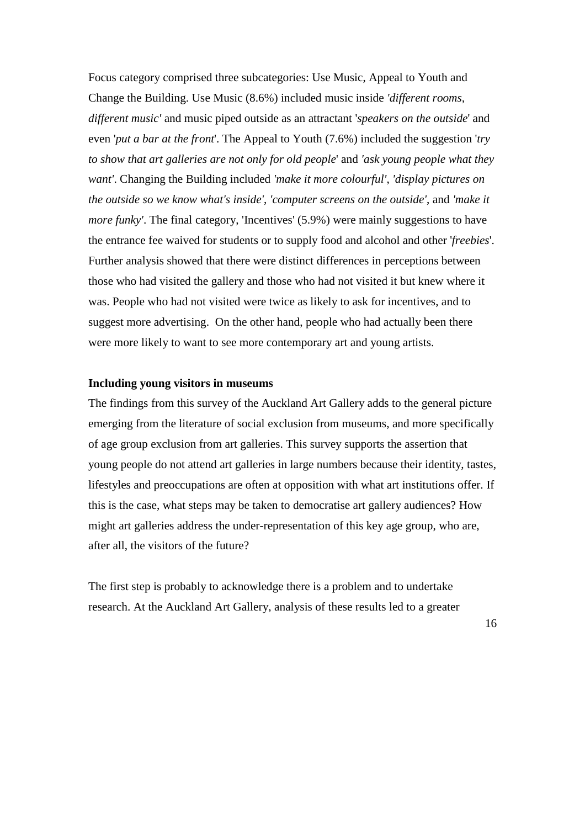Focus category comprised three subcategories: Use Music, Appeal to Youth and Change the Building. Use Music (8.6%) included music inside *'different rooms, different music'* and music piped outside as an attractant '*speakers on the outside*' and even '*put a bar at the front*'. The Appeal to Youth (7.6%) included the suggestion '*try to show that art galleries are not only for old people*' and *'ask young people what they want'*. Changing the Building included *'make it more colourful'*, *'display pictures on the outside so we know what's inside'*, *'computer screens on the outside'*, and *'make it more funky'*. The final category, 'Incentives' (5.9%) were mainly suggestions to have the entrance fee waived for students or to supply food and alcohol and other '*freebies*'. Further analysis showed that there were distinct differences in perceptions between those who had visited the gallery and those who had not visited it but knew where it was. People who had not visited were twice as likely to ask for incentives, and to suggest more advertising. On the other hand, people who had actually been there were more likely to want to see more contemporary art and young artists.

## **Including young visitors in museums**

The findings from this survey of the Auckland Art Gallery adds to the general picture emerging from the literature of social exclusion from museums, and more specifically of age group exclusion from art galleries. This survey supports the assertion that young people do not attend art galleries in large numbers because their identity, tastes, lifestyles and preoccupations are often at opposition with what art institutions offer. If this is the case, what steps may be taken to democratise art gallery audiences? How might art galleries address the under-representation of this key age group, who are, after all, the visitors of the future?

The first step is probably to acknowledge there is a problem and to undertake research. At the Auckland Art Gallery, analysis of these results led to a greater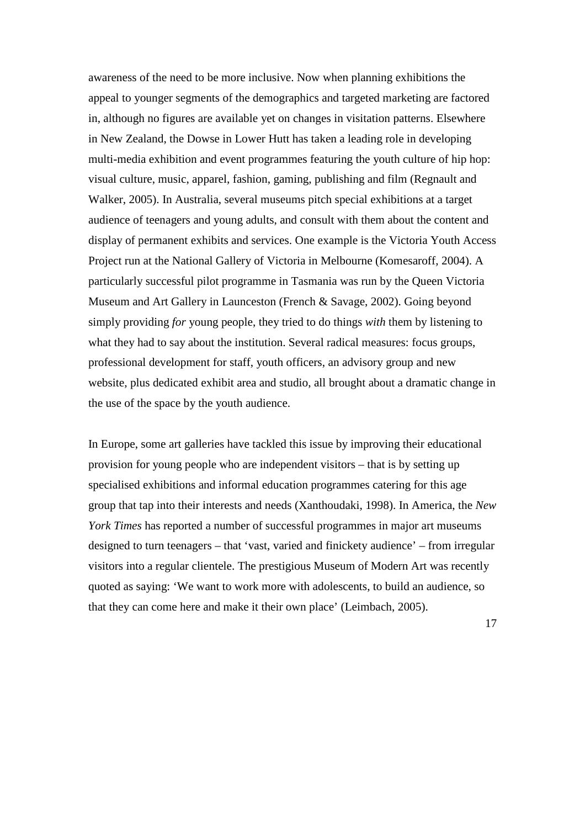awareness of the need to be more inclusive. Now when planning exhibitions the appeal to younger segments of the demographics and targeted marketing are factored in, although no figures are available yet on changes in visitation patterns. Elsewhere in New Zealand, the Dowse in Lower Hutt has taken a leading role in developing multi-media exhibition and event programmes featuring the youth culture of hip hop: visual culture, music, apparel, fashion, gaming, publishing and film (Regnault and Walker, 2005). In Australia, several museums pitch special exhibitions at a target audience of teenagers and young adults, and consult with them about the content and display of permanent exhibits and services. One example is the Victoria Youth Access Project run at the National Gallery of Victoria in Melbourne (Komesaroff, 2004). A particularly successful pilot programme in Tasmania was run by the Queen Victoria Museum and Art Gallery in Launceston (French & Savage, 2002). Going beyond simply providing *for* young people, they tried to do things *with* them by listening to what they had to say about the institution. Several radical measures: focus groups, professional development for staff, youth officers, an advisory group and new website, plus dedicated exhibit area and studio, all brought about a dramatic change in the use of the space by the youth audience.

In Europe, some art galleries have tackled this issue by improving their educational provision for young people who are independent visitors – that is by setting up specialised exhibitions and informal education programmes catering for this age group that tap into their interests and needs (Xanthoudaki, 1998). In America, the *New York Times* has reported a number of successful programmes in major art museums designed to turn teenagers – that 'vast, varied and finickety audience' – from irregular visitors into a regular clientele. The prestigious Museum of Modern Art was recently quoted as saying: 'We want to work more with adolescents, to build an audience, so that they can come here and make it their own place' (Leimbach, 2005).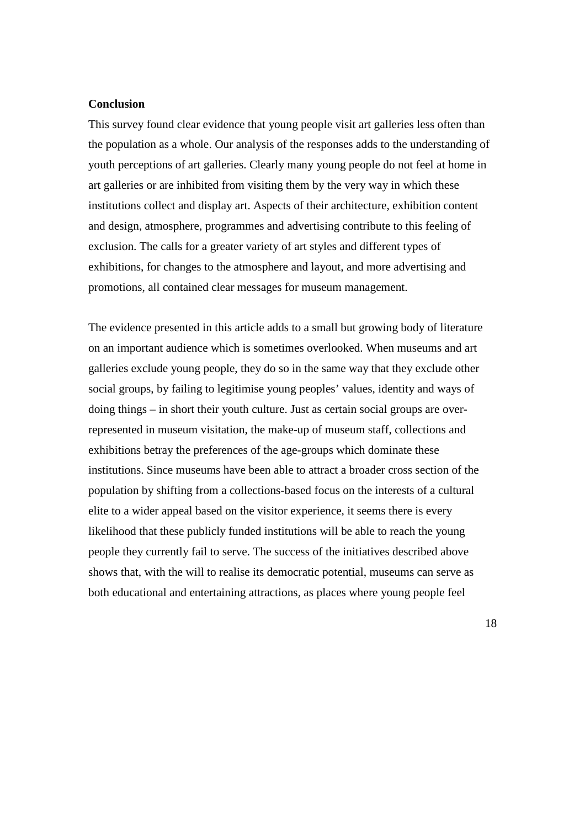# **Conclusion**

This survey found clear evidence that young people visit art galleries less often than the population as a whole. Our analysis of the responses adds to the understanding of youth perceptions of art galleries. Clearly many young people do not feel at home in art galleries or are inhibited from visiting them by the very way in which these institutions collect and display art. Aspects of their architecture, exhibition content and design, atmosphere, programmes and advertising contribute to this feeling of exclusion. The calls for a greater variety of art styles and different types of exhibitions, for changes to the atmosphere and layout, and more advertising and promotions, all contained clear messages for museum management.

The evidence presented in this article adds to a small but growing body of literature on an important audience which is sometimes overlooked. When museums and art galleries exclude young people, they do so in the same way that they exclude other social groups, by failing to legitimise young peoples' values, identity and ways of doing things – in short their youth culture. Just as certain social groups are overrepresented in museum visitation, the make-up of museum staff, collections and exhibitions betray the preferences of the age-groups which dominate these institutions. Since museums have been able to attract a broader cross section of the population by shifting from a collections-based focus on the interests of a cultural elite to a wider appeal based on the visitor experience, it seems there is every likelihood that these publicly funded institutions will be able to reach the young people they currently fail to serve. The success of the initiatives described above shows that, with the will to realise its democratic potential, museums can serve as both educational and entertaining attractions, as places where young people feel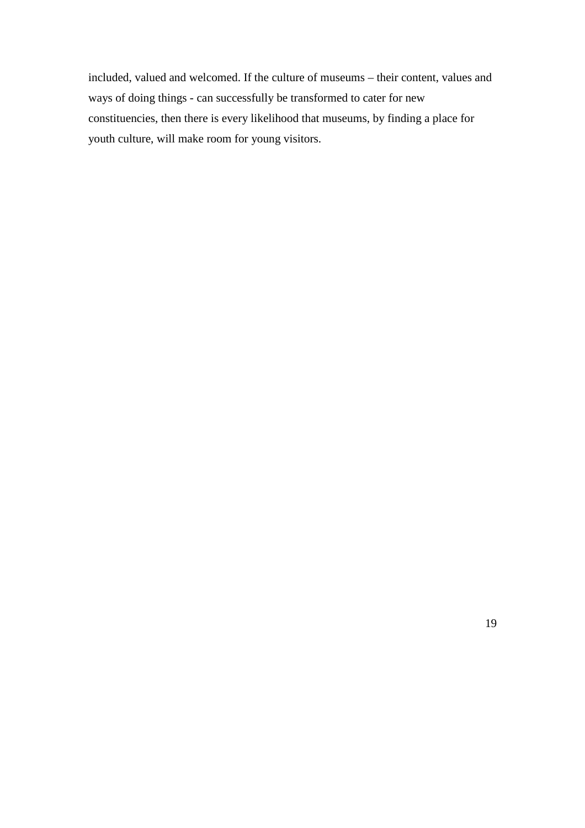included, valued and welcomed. If the culture of museums – their content, values and ways of doing things - can successfully be transformed to cater for new constituencies, then there is every likelihood that museums, by finding a place for youth culture, will make room for young visitors.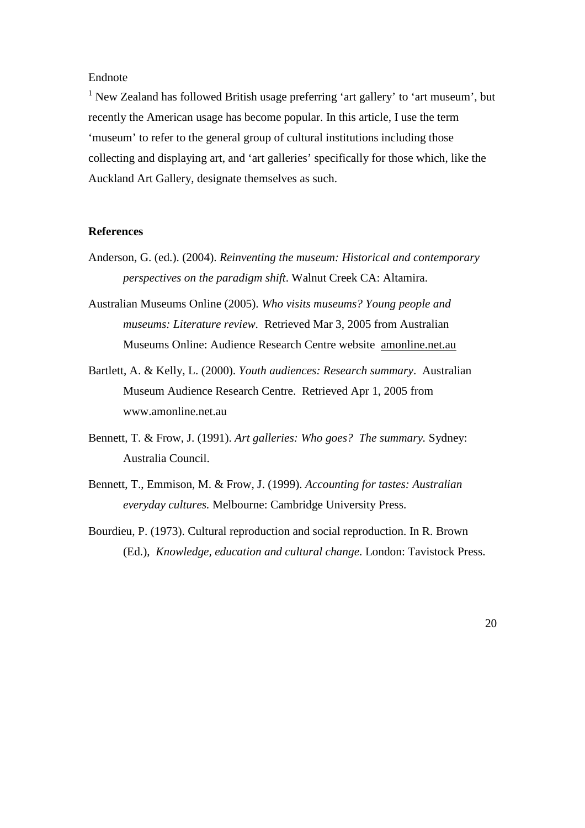# Endnote

<sup>1</sup> New Zealand has followed British usage preferring 'art gallery' to 'art museum', but recently the American usage has become popular. In this article, I use the term 'museum' to refer to the general group of cultural institutions including those collecting and displaying art, and 'art galleries' specifically for those which, like the Auckland Art Gallery, designate themselves as such.

### **References**

- Anderson, G. (ed.). (2004). *Reinventing the museum: Historical and contemporary perspectives on the paradigm shift*. Walnut Creek CA: Altamira.
- Australian Museums Online (2005). *Who visits museums? Young people and museums: Literature review.* Retrieved Mar 3, 2005 from Australian Museums Online: Audience Research Centre website amonline.net.au
- Bartlett, A. & Kelly, L. (2000). *Youth audiences: Research summary*. Australian Museum Audience Research Centre. Retrieved Apr 1, 2005 from www.amonline.net.au
- Bennett, T. & Frow, J. (1991). *Art galleries: Who goes? The summary.* Sydney: Australia Council.
- Bennett, T., Emmison, M. & Frow, J. (1999). *Accounting for tastes: Australian everyday cultures.* Melbourne: Cambridge University Press.
- Bourdieu, P. (1973). Cultural reproduction and social reproduction. In R. Brown (Ed.), *Knowledge, education and cultural change*. London: Tavistock Press.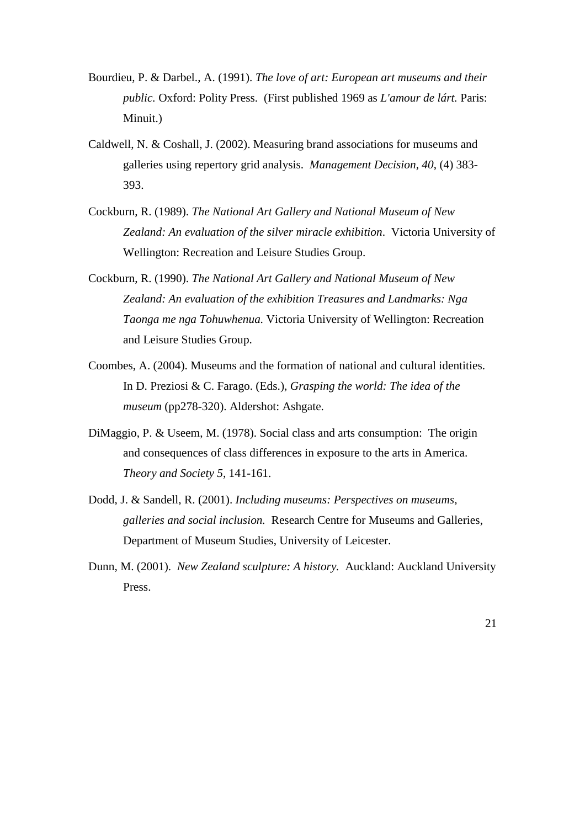- Bourdieu, P. & Darbel., A. (1991). *The love of art: European art museums and their public.* Oxford: Polity Press. (First published 1969 as *L'amour de lárt.* Paris: Minuit.)
- Caldwell, N. & Coshall, J. (2002). Measuring brand associations for museums and galleries using repertory grid analysis. *Management Decision, 40*, (4) 383- 393.
- Cockburn, R. (1989). *The National Art Gallery and National Museum of New Zealand: An evaluation of the silver miracle exhibition*. Victoria University of Wellington: Recreation and Leisure Studies Group.
- Cockburn, R. (1990). *The National Art Gallery and National Museum of New Zealand: An evaluation of the exhibition Treasures and Landmarks: Nga Taonga me nga Tohuwhenua.* Victoria University of Wellington: Recreation and Leisure Studies Group.
- Coombes, A. (2004). Museums and the formation of national and cultural identities. In D. Preziosi & C. Farago. (Eds.), *Grasping the world: The idea of the museum* (pp278-320). Aldershot: Ashgate.
- DiMaggio, P. & Useem, M. (1978). Social class and arts consumption: The origin and consequences of class differences in exposure to the arts in America. *Theory and Society 5*, 141-161.
- Dodd, J. & Sandell, R. (2001). *Including museums: Perspectives on museums, galleries and social inclusion.* Research Centre for Museums and Galleries, Department of Museum Studies, University of Leicester.
- Dunn, M. (2001). *New Zealand sculpture: A history.* Auckland: Auckland University Press.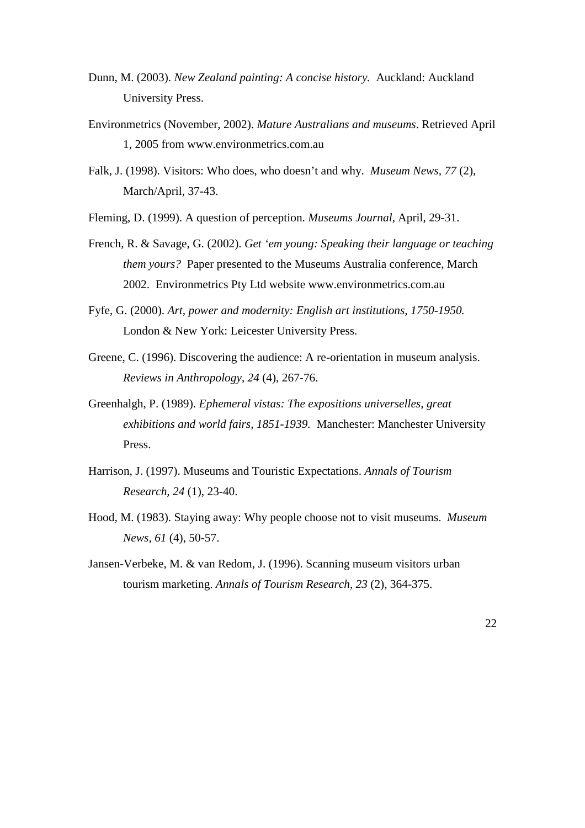- Dunn, M. (2003). *New Zealand painting: A concise history.* Auckland: Auckland University Press.
- Environmetrics (November, 2002). *Mature Australians and museums*. Retrieved April 1, 2005 from www.environmetrics.com.au
- Falk, J. (1998). Visitors: Who does, who doesn't and why. *Museum News, 77* (2), March/April, 37-43.
- Fleming, D. (1999). A question of perception. *Museums Journal,* April, 29-31.
- French, R. & Savage, G. (2002). *Get 'em young: Speaking their language or teaching them yours?* Paper presented to the Museums Australia conference, March 2002. Environmetrics Pty Ltd website www.environmetrics.com.au
- Fyfe, G. (2000). *Art, power and modernity: English art institutions, 1750-1950.*  London & New York: Leicester University Press.
- Greene, C. (1996). Discovering the audience: A re-orientation in museum analysis. *Reviews in Anthropology*, *24* (4), 267-76.
- Greenhalgh, P. (1989). *Ephemeral vistas: The expositions universelles, great exhibitions and world fairs, 1851-1939.* Manchester: Manchester University Press.
- Harrison, J. (1997). Museums and Touristic Expectations. *Annals of Tourism Research, 24* (1), 23-40.
- Hood, M. (1983). Staying away: Why people choose not to visit museums. *Museum News, 61* (4), 50-57.
- Jansen-Verbeke, M. & van Redom, J. (1996). Scanning museum visitors urban tourism marketing. *Annals of Tourism Research*, *23* (2), 364-375.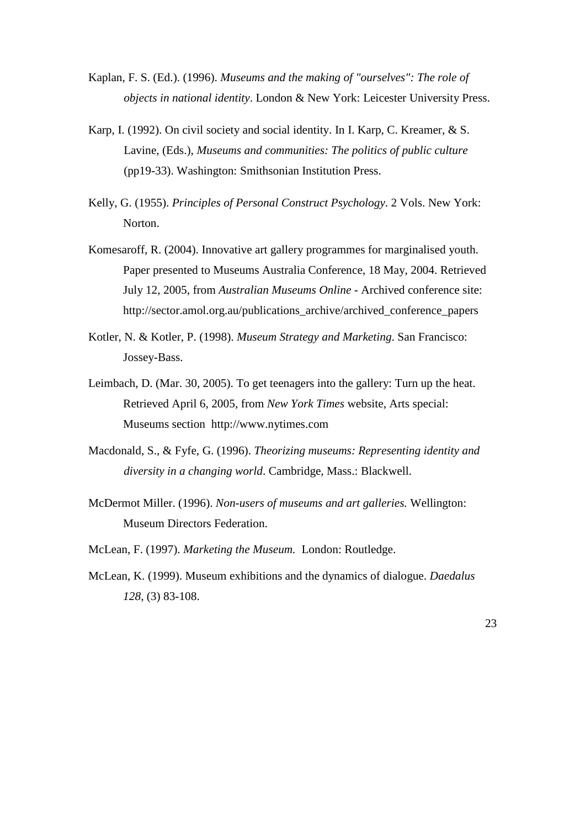- Kaplan, F. S. (Ed.). (1996). *Museums and the making of "ourselves": The role of objects in national identity*. London & New York: Leicester University Press.
- Karp, I. (1992). On civil society and social identity. In I. Karp, C. Kreamer, & S. Lavine, (Eds.), *Museums and communities: The politics of public culture*  (pp19-33). Washington: Smithsonian Institution Press.
- Kelly, G. (1955). *Principles of Personal Construct Psychology*. 2 Vols. New York: Norton.
- Komesaroff, R. (2004). Innovative art gallery programmes for marginalised youth. Paper presented to Museums Australia Conference, 18 May, 2004. Retrieved July 12, 2005, from *Australian Museums Online* - Archived conference site: http://sector.amol.org.au/publications\_archive/archived\_conference\_papers
- Kotler, N. & Kotler, P. (1998). *Museum Strategy and Marketing*. San Francisco: Jossey-Bass.
- Leimbach, D. (Mar. 30, 2005). To get teenagers into the gallery: Turn up the heat. Retrieved April 6, 2005, from *New York Times* website, Arts special: Museums section http://www.nytimes.com
- Macdonald, S., & Fyfe, G. (1996). *Theorizing museums: Representing identity and diversity in a changing world*. Cambridge, Mass.: Blackwell.
- McDermot Miller. (1996). *Non-users of museums and art galleries.* Wellington: Museum Directors Federation.
- McLean, F. (1997). *Marketing the Museum.* London: Routledge.
- McLean, K. (1999). Museum exhibitions and the dynamics of dialogue. *Daedalus 128*, (3) 83-108.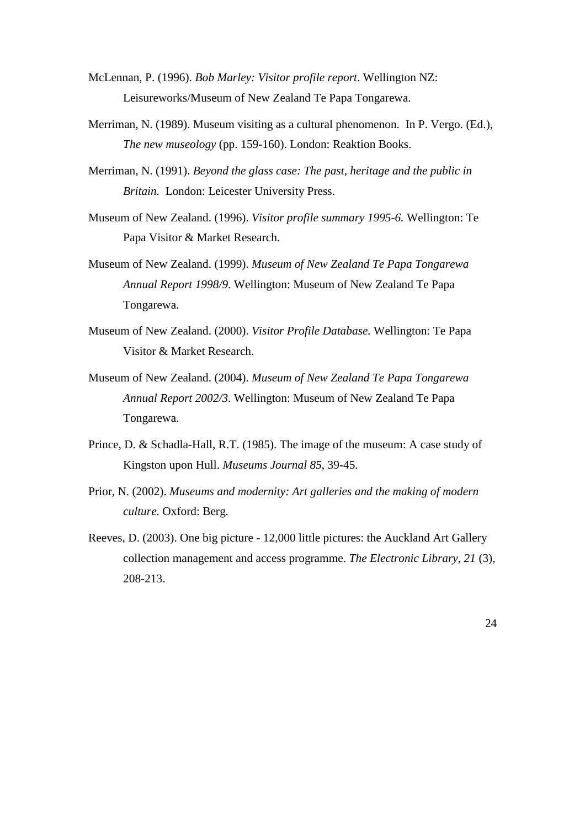- McLennan, P. (1996). *Bob Marley: Visitor profile report*. Wellington NZ: Leisureworks/Museum of New Zealand Te Papa Tongarewa.
- Merriman, N. (1989). Museum visiting as a cultural phenomenon. In P. Vergo. (Ed.), *The new museology* (pp. 159-160). London: Reaktion Books.
- Merriman, N. (1991). *Beyond the glass case: The past, heritage and the public in Britain.* London: Leicester University Press.
- Museum of New Zealand. (1996). *Visitor profile summary 1995-6.* Wellington: Te Papa Visitor & Market Research.
- Museum of New Zealand. (1999). *Museum of New Zealand Te Papa Tongarewa Annual Report 1998/9*. Wellington: Museum of New Zealand Te Papa Tongarewa.
- Museum of New Zealand. (2000). *Visitor Profile Database.* Wellington: Te Papa Visitor & Market Research.
- Museum of New Zealand. (2004). *Museum of New Zealand Te Papa Tongarewa Annual Report 2002/3*. Wellington: Museum of New Zealand Te Papa Tongarewa.
- Prince, D. & Schadla-Hall, R.T. (1985). The image of the museum: A case study of Kingston upon Hull. *Museums Journal 85*, 39-45.
- Prior, N. (2002). *Museums and modernity: Art galleries and the making of modern culture*. Oxford: Berg.
- Reeves, D. (2003). One big picture 12,000 little pictures: the Auckland Art Gallery collection management and access programme. *The Electronic Library*, *21* (3), 208-213.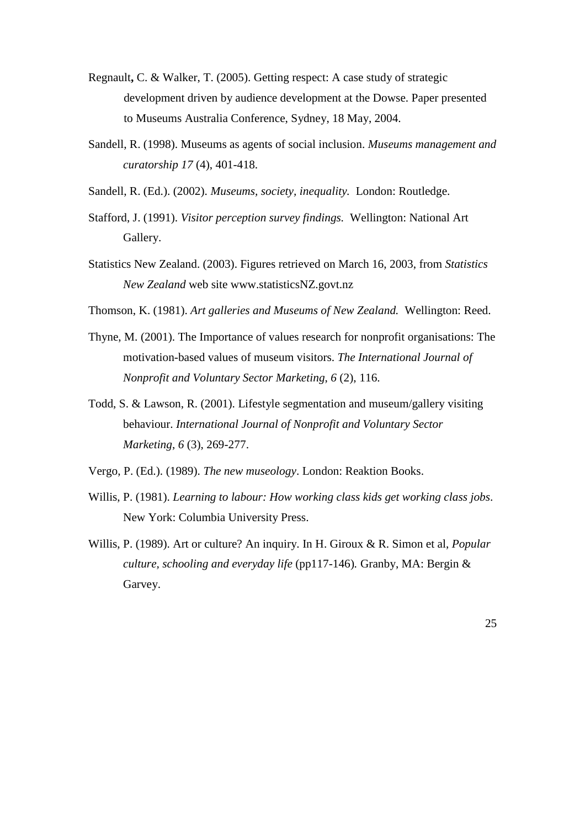- Regnault**,** C. & Walker, T. (2005). Getting respect: A case study of strategic development driven by audience development at the Dowse. Paper presented to Museums Australia Conference, Sydney, 18 May, 2004.
- Sandell, R. (1998). Museums as agents of social inclusion. *Museums management and curatorship 17* (4), 401-418.
- Sandell, R. (Ed.). (2002). *Museums, society, inequality.* London: Routledge.
- Stafford, J. (1991). *Visitor perception survey findings.* Wellington: National Art Gallery.
- Statistics New Zealand. (2003). Figures retrieved on March 16, 2003, from *Statistics New Zealand* web site www.statisticsNZ.govt.nz
- Thomson, K. (1981). *Art galleries and Museums of New Zealand.* Wellington: Reed.
- Thyne, M. (2001). The Importance of values research for nonprofit organisations: The motivation-based values of museum visitors. *The International Journal of Nonprofit and Voluntary Sector Marketing*, *6* (2), 116.
- Todd, S. & Lawson, R. (2001). Lifestyle segmentation and museum/gallery visiting behaviour. *International Journal of Nonprofit and Voluntary Sector Marketing*, *6* (3), 269-277.
- Vergo, P. (Ed.). (1989). *The new museology*. London: Reaktion Books.
- Willis, P. (1981). *Learning to labour: How working class kids get working class jobs*. New York: Columbia University Press.
- Willis, P. (1989). Art or culture? An inquiry. In H. Giroux & R. Simon et al, *Popular culture, schooling and everyday life* (pp117-146)*.* Granby, MA: Bergin & Garvey.